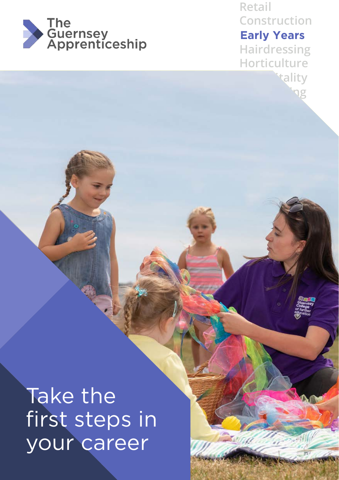

**Early Years Hairdressing Construction Retail Horticulture**

**Kality** 

**Catering**

Take the first steps in your career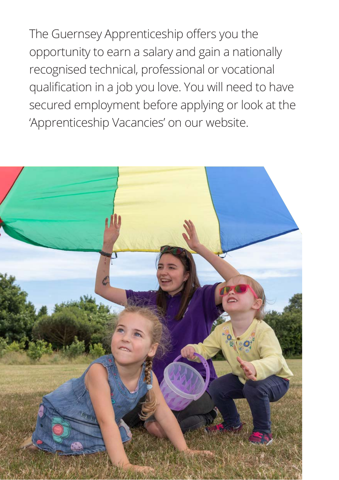The Guernsey Apprenticeship offers you the opportunity to earn a salary and gain a nationally recognised technical, professional or vocational qualification in a job you love. You will need to have secured employment before applying or look at the 'Apprenticeship Vacancies' on our website.

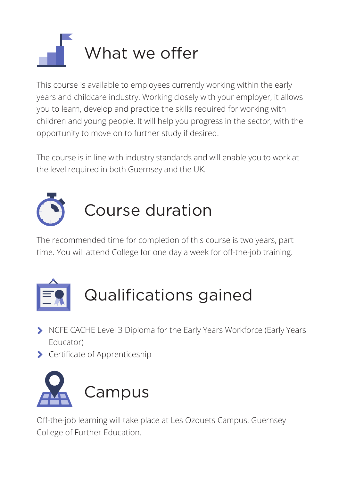# What we offer

This course is available to employees currently working within the early years and childcare industry. Working closely with your employer, it allows you to learn, develop and practice the skills required for working with children and young people. It will help you progress in the sector, with the opportunity to move on to further study if desired.

The course is in line with industry standards and will enable you to work at the level required in both Guernsey and the UK.



## Course duration

The recommended time for completion of this course is two years, part time. You will attend College for one day a week for off-the-job training.



## Qualifications gained

- NCFE CACHE Level 3 Diploma for the Early Years Workforce (Early Years Educator)
- > Certificate of Apprenticeship



Off-the-job learning will take place at Les Ozouets Campus, Guernsey College of Further Education.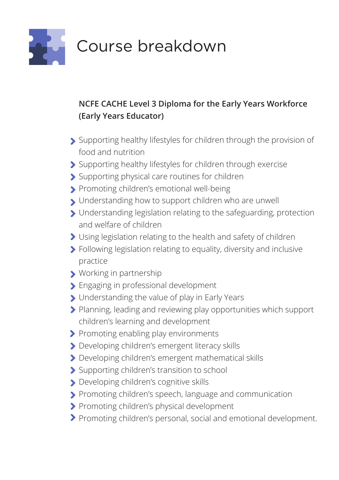

#### **NCFE CACHE Level 3 Diploma for the Early Years Workforce (Early Years Educator)**

- Supporting healthy lifestyles for children through the provision of food and nutrition
- Supporting healthy lifestyles for children through exercise
- Supporting physical care routines for children
- Promoting children's emotional well-being
- Understanding how to support children who are unwell
- Understanding legislation relating to the safeguarding, protection and welfare of children
- Using legislation relating to the health and safety of children
- Following legislation relating to equality, diversity and inclusive practice
- Working in partnership
- > Engaging in professional development
- Understanding the value of play in Early Years
- Planning, leading and reviewing play opportunities which support children's learning and development
- > Promoting enabling play environments
- Developing children's emergent literacy skills
- Developing children's emergent mathematical skills
- > Supporting children's transition to school
- Developing children's cognitive skills
- Promoting children's speech, language and communication
- Promoting children's physical development
- Promoting children's personal, social and emotional development.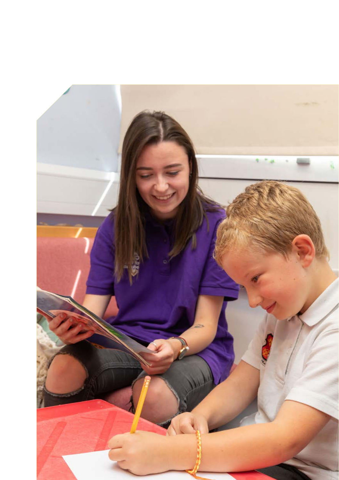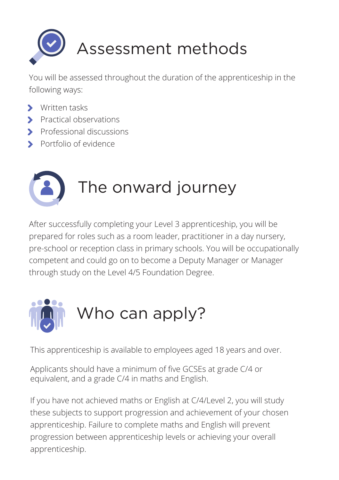

You will be assessed throughout the duration of the apprenticeship in the following ways:

- Written tasks
- **Practical observations**
- **•** Professional discussions
- **>** Portfolio of evidence

## The onward journey

After successfully completing your Level 3 apprenticeship, you will be prepared for roles such as a room leader, practitioner in a day nursery, pre-school or reception class in primary schools. You will be occupationally competent and could go on to become a Deputy Manager or Manager through study on the Level 4/5 Foundation Degree.



This apprenticeship is available to employees aged 18 years and over.

Applicants should have a minimum of five GCSEs at grade C/4 or equivalent, and a grade C/4 in maths and English.

If you have not achieved maths or English at C/4/Level 2, you will study these subjects to support progression and achievement of your chosen apprenticeship. Failure to complete maths and English will prevent progression between apprenticeship levels or achieving your overall apprenticeship.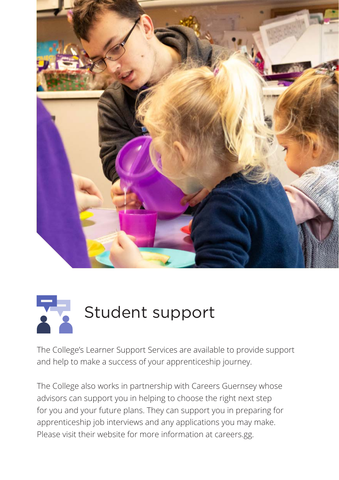



The College's Learner Support Services are available to provide support and help to make a success of your apprenticeship journey.

The College also works in partnership with Careers Guernsey whose advisors can support you in helping to choose the right next step for you and your future plans. They can support you in preparing for apprenticeship job interviews and any applications you may make. Please visit their website for more information at careers.gg.